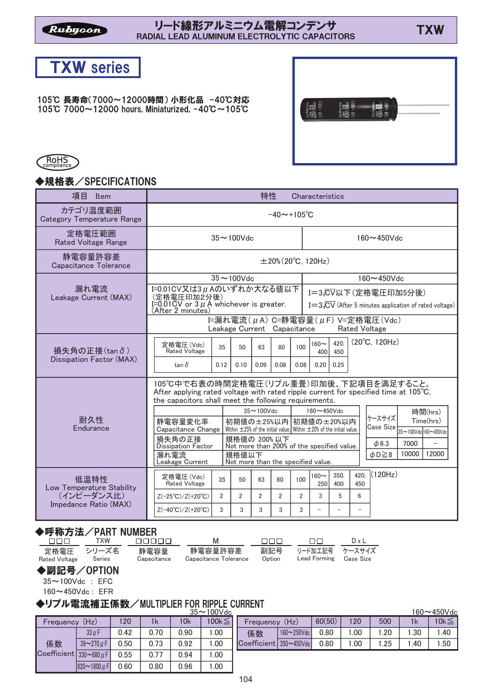#### -リート線ポノソレミニソム電解コノテノサ<br>RADIAL LEAD ALUMINUM ELECTROLYTIC CAPACITORS



105℃ 長寿命(7000~12000時間) 小形化品 -40℃対応 105°C 7000~12000 hours, Miniaturized, -40°C~105°C





#### ◆規格表/SPECIFICATIONS

| 項目<br>Item                                    |                                                                                                                                                                                                  |                                                                                                        | 特性             |                          |                | Characteristics                                                                        |             |                          |                                                           |                                  |
|-----------------------------------------------|--------------------------------------------------------------------------------------------------------------------------------------------------------------------------------------------------|--------------------------------------------------------------------------------------------------------|----------------|--------------------------|----------------|----------------------------------------------------------------------------------------|-------------|--------------------------|-----------------------------------------------------------|----------------------------------|
| カテゴリ温度範囲<br><b>Category Temperature Range</b> |                                                                                                                                                                                                  |                                                                                                        |                | $-40 \sim +105^{\circ}C$ |                |                                                                                        |             |                          |                                                           |                                  |
| 定格電圧範囲<br><b>Rated Voltage Range</b>          |                                                                                                                                                                                                  | $35 \sim 100$ Vdc                                                                                      |                |                          |                |                                                                                        |             |                          | $160 - 450$ Vdc                                           |                                  |
| 静電容量許容差<br>Capacitance Tolerance              |                                                                                                                                                                                                  |                                                                                                        |                |                          |                | $\pm 20\%$ (20 $^{\circ}$ C, 120Hz)                                                    |             |                          |                                                           |                                  |
|                                               |                                                                                                                                                                                                  | $35 \sim 100$ Vdc                                                                                      |                |                          |                |                                                                                        |             |                          | $160 - 450$ Vdc                                           |                                  |
| 漏れ電流<br>Leakage Current (MAX)                 | (定格電圧印加2分後)                                                                                                                                                                                      | I=0.01CV又は3μAのいずれか大なる値以下<br>$I=0.01$ CV or $3 \mu$ A whichever is greater.<br>(After 2 minutes)        |                |                          |                | I=3 CV以下(定格電圧印加5分後)<br>$I = 3\sqrt{CV}$ (After 5 minutes application of rated voltage) |             |                          |                                                           |                                  |
|                                               |                                                                                                                                                                                                  | Leakage Current Capacitance                                                                            |                |                          |                |                                                                                        |             |                          | I=漏れ電流(μA) C=静電容量(μF) V=定格電圧(Vdc)<br><b>Rated Voltage</b> |                                  |
| 損失角の正接(tan o)<br>Dissipation Factor (MAX)     | 定格電圧(Vdc)<br>35<br>Rated Voltage                                                                                                                                                                 | 50                                                                                                     | 63             | 80                       | 100            | $160 \sim$<br>400                                                                      | 420.<br>450 |                          | $(20^{\circ}C, 120Hz)$                                    |                                  |
|                                               | $\tan \delta$<br>0.12                                                                                                                                                                            | 0.10                                                                                                   | 0.09           | 0.08                     | 0.08           | 0.20                                                                                   | 0.25        |                          |                                                           |                                  |
|                                               | 105℃中で右表の時間定格電圧(リプル重畳)印加後、下記項目を満足すること。<br>After applying rated voltage with rated ripple current for specified time at $105^{\circ}$ C,<br>the capacitors shall meet the following requirements. |                                                                                                        |                |                          |                |                                                                                        |             |                          |                                                           |                                  |
|                                               |                                                                                                                                                                                                  |                                                                                                        | $35 - 100$ Vdc |                          |                | $160 - 450$ Vdc                                                                        |             |                          |                                                           | 時間(hrs)                          |
| 耐久性<br>Endurance                              | 静電容量変化率<br>Capacitance Change                                                                                                                                                                    | 初期値の±25%以内 初期値の±20%以内<br>Within $\pm$ 25% of the initial value. Within $\pm$ 20% of the initial value. |                |                          |                |                                                                                        |             |                          | ケースサイズ<br><b>Case Size</b>                                | Time(hrs)<br>35~100Vdc160~450Vdc |
|                                               | 損失角の正接<br><b>Dissipation Factor</b>                                                                                                                                                              | 規格値の 200%以下<br>Not more than 200% of the specified value.                                              |                |                          |                |                                                                                        |             |                          | $\phi$ 6.3                                                | 7000                             |
|                                               | $\phi$ D $\geq$ 8<br>漏れ電流<br>規格値以下<br>Leakage Current<br>Not more than the specified value.                                                                                                      |                                                                                                        |                |                          |                | 10000<br>12000                                                                         |             |                          |                                                           |                                  |
| 低温特性                                          | 定格電圧(Vdc)<br>35<br><b>Rated Voltage</b>                                                                                                                                                          | 50                                                                                                     | 63             | 80                       | 100            | $160 \sim$<br>250                                                                      | 350.<br>400 | 450                      | 420, (120Hz)                                              |                                  |
| Low Temperature Stability<br>(インピーダンス比)       | $\overline{2}$<br>$Z(-25^{\circ}C)/Z(+20^{\circ}C)$                                                                                                                                              | $\overline{2}$                                                                                         | $\overline{2}$ | $\overline{2}$           | $\mathfrak{p}$ | 3                                                                                      | 5           | 6                        |                                                           |                                  |
| Impedance Ratio (MAX)                         | 3<br>$Z(-40^{\circ}C)/Z(+20^{\circ}C)$                                                                                                                                                           | 3                                                                                                      | 3              | 3                        | 3              | $\overline{\phantom{a}}$                                                               |             | $\overline{\phantom{0}}$ |                                                           |                                  |

#### ◆呼称方法/PART NUMBER

| nnn.                 | TXW                  | nnnnn.              | M                                | <b>FILITI</b> | <u>ПП</u>                      | $D \times L$ |
|----------------------|----------------------|---------------------|----------------------------------|---------------|--------------------------------|--------------|
| <b>Rated Voltage</b> | 定格電圧 シリーズ名<br>Series | 静電容量<br>Capacitance | 静電容量許容差<br>Capacitance Tolerance | 副記号<br>Option | リード加工記号 ケースサイズ<br>Lead Forming | Case Size    |
| 스테커드 /ODTION         |                      |                     |                                  |               |                                |              |

◆副記号/OPIION

35 100Vdc : EFC 160 450Vdc : EFR

#### ◆リプル電流補正係数/MULTIPLIER FOR RIPPLE CURRENT

|                        |                  |      |      | <u>uu</u> | .             |
|------------------------|------------------|------|------|-----------|---------------|
| Frequency (Hz)         |                  | 120  | 1k   | 10k       | $100k \leq 1$ |
|                        | $33 \mu F$       | 0.42 | 0.70 | 0.90      | 1.00          |
| 係数                     | $39 - 270 \mu F$ | 0.50 | 0.73 | 0.92      | 1.00          |
| Coefficient 330~680 µF |                  | 0.55 | 0.77 | 0.94      | 1.00          |
|                        | l820∼1800 µ Fl   | 0.60 | 0.80 | 0.96      | 1.00          |

| 35 $\sim$ 100Vdc |                        |                                |      |      |      |      | 160∼450Vdc |
|------------------|------------------------|--------------------------------|------|------|------|------|------------|
| $100k \leq 1$    |                        | (H <sub>Z</sub> )<br>Frequency |      | 120  | 500  |      | $10k \leq$ |
| 1.00             | 係数                     | 160~250Vdc                     | 0.80 | 0.00 | 1.20 | 1.30 | 40. ا      |
| 1.00             | Coefficient 350~450Vdc |                                | 0.80 | 0.00 | 1.25 | .40  | 1.50       |
|                  |                        |                                |      |      |      |      |            |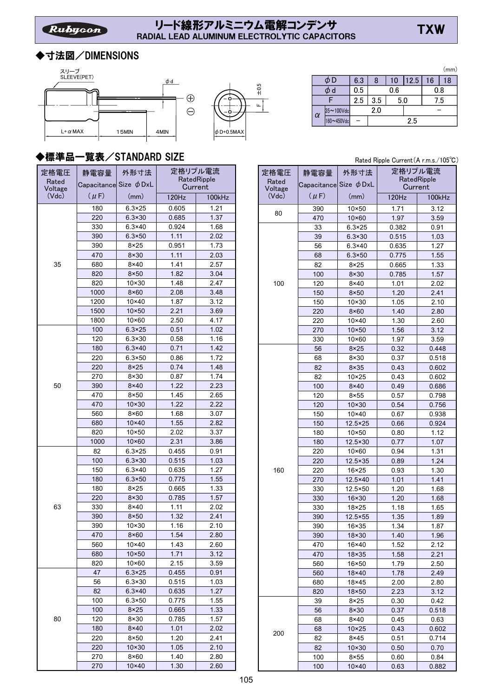# リード線形アルミニウム電解コンデンサ<br>RADIAL LEAD ALUMINUM ELECTROLYTIC CAPACITORS

# ◆寸法図/DIMENSIONS



|          |   |     |          |            |     |     |     |     |     | (mm)                |
|----------|---|-----|----------|------------|-----|-----|-----|-----|-----|---------------------|
| $\phi$ d |   | بما |          |            | 6.3 | O   | ι   | h   | 6   | $\Omega$<br>$\circ$ |
|          |   | O   |          | ס ש        | 0.5 |     | 0.6 |     | 0.8 |                     |
|          | ₩ |     |          |            | 2.5 | 3.5 | 5.0 |     |     | 7.5                 |
|          |   |     | $\alpha$ | 35~100Vdc  |     | 2.0 |     |     |     |                     |
|          |   |     |          | 160~450Vdc |     |     |     | 2.5 |     |                     |

#### ◆標準品一覧表/STANDARD SIZE

| 定格電圧             | 静電容量                        | 外形寸法            | 定格リプル電流<br>RatedRipple |               |
|------------------|-----------------------------|-----------------|------------------------|---------------|
| Rated            | Capacitance Size $\phi$ DxL |                 | Current                |               |
| Voltage<br>(Vdc) | $(\mu F)$                   | (mm)            | 120Hz                  | <b>100kHz</b> |
|                  | 180                         | $6.3 \times 25$ | 0.605                  | 1.21          |
|                  | 220                         | $6.3 \times 30$ | 0.685                  | 1.37          |
|                  | 330                         | $6.3 \times 40$ | 0.924                  | 1.68          |
|                  | 390                         | $6.3 \times 50$ | 1.11                   | 2.02          |
|                  | 390                         | $8\times 25$    | 0.951                  | 1.73          |
|                  | 470                         | $8\times30$     | 1.11                   | 2.03          |
| 35               | 680                         | 8×40            | 1.41                   | 2.57          |
|                  | 820                         | $8\times50$     | 1.82                   | 3.04          |
|                  | 820                         | $10 \times 30$  | 1.48                   | 2.47          |
|                  | 1000                        | $8\times 60$    | 2.08                   | 3.48          |
|                  | 1200                        | 10×40           | 1.87                   | 3.12          |
|                  | 1500                        | $10\times 50$   | 2.21                   | 3.69          |
|                  | 1800                        | $10\times 60$   | 2.50                   | 4.17          |
|                  | 100                         | $6.3 \times 25$ | 0.51                   | 1.02          |
|                  | 120                         | 6.3×30          | 0.58                   | 1.16          |
|                  | 180                         | $6.3 \times 40$ | 0.71                   | 1.42          |
|                  | 220                         | $6.3 \times 50$ | 0.86                   | 1.72          |
|                  | 220                         | $8\times 25$    | 0.74                   | 1.48          |
|                  | 270                         | 8×30            | 0.87                   | 1.74          |
| 50               | 390                         | $8\times40$     | 1.22                   | 2.23          |
|                  | 470                         | $8\times50$     | 1.45                   | 2.65          |
|                  | 470                         | $10 \times 30$  | 1.22                   | 2.22          |
|                  | 560                         | 8×60            | 1.68                   | 3.07          |
|                  | 680                         | $10\times 40$   | 1.55                   | 2.82          |
|                  | 820                         | 10×50           | 2.02                   | 3.37          |
|                  | 1000                        | $10\times 60$   | 2.31                   | 3.86          |
|                  | 82                          | $6.3 \times 25$ | 0.455                  | 0.91          |
|                  | 100                         | $6.3 \times 30$ | 0.515                  | 1.03          |
|                  | 150                         | $6.3 \times 40$ | 0.635                  | 1.27          |
|                  | 180                         | $6.3 \times 50$ | 0.775                  | 1.55          |
|                  | 180                         | $8\times 25$    | 0.665                  | 1.33          |
|                  | 220                         | $8\times30$     | 0.785                  | 1.57          |
| 63               | 330                         | $8\times40$     | 1.11                   | 2.02          |
|                  | 390                         | $8\times50$     | 1.32                   | 2.41          |
|                  | 390                         | 10×30           | 1.16                   | 2.10          |
|                  | 470                         | $8\times 60$    | 1.54                   | 2.80          |
|                  | 560                         | 10×40           | 1.43                   | 2.60          |
|                  | 680                         | $10\times 50$   | 1.71                   | 3.12          |
|                  | 820                         | $10\times 60$   | 2.15                   | 3.59          |
|                  | 47                          | $6.3 \times 25$ | 0.455                  | 0.91          |
|                  | 56                          | $6.3 \times 30$ | 0.515                  | 1.03          |
|                  | 82                          | $6.3 \times 40$ | 0.635                  | 1.27          |
|                  | 100                         | 6.3×50          | 0.775                  | 1.55          |
|                  | 100                         | $8\times 25$    | 0.665                  | 1.33          |
| 80               | 120                         | 8×30            | 0.785                  | 1.57          |
|                  | 180                         | $8\times40$     | 1.01                   | 2.02          |
|                  | 220                         | 8×50            | 1.20                   | 2.41          |
|                  | 220                         | $10 \times 30$  | 1.05                   | 2.10          |
|                  | 270                         | 8×60            | 1.40                   | 2.80          |
|                  | 270                         | 10×40           | 1.30                   | 2.60          |

|         | Rated Ripple Current (A r.m.s./105°C) |                 |         |             |  |  |  |
|---------|---------------------------------------|-----------------|---------|-------------|--|--|--|
| 定格電圧    | 定格リプル電流<br>静電容量<br>外形寸法               |                 |         |             |  |  |  |
| Rated   | Capacitance Size $\phi$ DxL           |                 |         | RatedRipple |  |  |  |
| Voltage |                                       |                 | Current |             |  |  |  |
| (Vdc)   | $(\mu F)$                             | (mm)            | 120Hz   | 100kHz      |  |  |  |
| 80      | 390                                   | 10×50           | 1.71    | 3.12        |  |  |  |
|         | 470                                   | 10×60           | 1.97    | 3.59        |  |  |  |
|         | 33                                    | $6.3 \times 25$ | 0.382   | 0.91        |  |  |  |
|         | 39                                    | $6.3 \times 30$ | 0.515   | 1.03        |  |  |  |
|         | 56                                    | $6.3 \times 40$ | 0.635   | 1.27        |  |  |  |
|         | 68                                    | $6.3 \times 50$ | 0.775   | 1.55        |  |  |  |
|         | 82                                    | $8\times 25$    | 0.665   | 1.33        |  |  |  |
|         | 100                                   | $8\times30$     | 0.785   | 1.57        |  |  |  |
| 100     | 120                                   | $8\times40$     | 1.01    | 2.02        |  |  |  |
|         | 150                                   | $8\times50$     | 1.20    | 2.41        |  |  |  |
|         | 150                                   | 10×30           | 1.05    | 2.10        |  |  |  |
|         | 220                                   | $8\times60$     | 1.40    | 2.80        |  |  |  |
|         | 220                                   | 10×40           | 1.30    | 2.60        |  |  |  |
|         | 270                                   | 10×50           | 1.56    | 3.12        |  |  |  |
|         | 330                                   | 10×60           | 1.97    | 3.59        |  |  |  |
|         | 56                                    | $8\times 25$    | 0.32    | 0.448       |  |  |  |
|         | 68                                    | $8\times30$     | 0.37    | 0.518       |  |  |  |
|         | 82                                    | $8\times35$     | 0.43    | 0.602       |  |  |  |
|         | 82                                    | 10×25           | 0.43    | 0.602       |  |  |  |
|         | 100                                   | $8\times40$     | 0.49    | 0.686       |  |  |  |
|         | 120                                   | $8\times 55$    | 0.57    | 0.798       |  |  |  |
|         | 120                                   | 10×30           | 0.54    | 0.756       |  |  |  |
|         | 150                                   | 10×40           | 0.67    | 0.938       |  |  |  |
|         | 150                                   | 12.5×25         | 0.66    | 0.924       |  |  |  |
|         | 180                                   | 10×50           | 0.80    | 1.12        |  |  |  |
|         | 180                                   | 12.5×30         | 0.77    | 1.07        |  |  |  |
|         | 220                                   | 10×60           | 0.94    | 1.31        |  |  |  |
|         | 220                                   | 12.5×35         | 0.89    | 1.24        |  |  |  |
| 160     | 220                                   | 16×25           | 0.93    | 1.30        |  |  |  |
|         | 270                                   | 12.5×40         | 1.01    | 1.41        |  |  |  |
|         | 330                                   | 12.5×50         | 1.20    | 1.68        |  |  |  |
|         | 330                                   | 16×30           | 1.20    | 1.68        |  |  |  |
|         | 330                                   | 18×25           | 1.18    | 1.65        |  |  |  |
|         | 390                                   | 12.5×55         | 1.35    | 1.89        |  |  |  |
|         | 390                                   | 16×35           | 1.34    | 1.87        |  |  |  |
|         | 390                                   | 18×30           | 1.40    | 1.96        |  |  |  |
|         | 470                                   | 16×40           | 1.52    | 2.12        |  |  |  |
|         | 470                                   | $18 \times 35$  | 1.58    | 2.21        |  |  |  |
|         | 560                                   | 16×50           | 1.79    | 2.50        |  |  |  |
|         | 560                                   | 18×40           | 1.78    | 2.49        |  |  |  |
|         | 680                                   | 18×45           | 2.00    | 2.80        |  |  |  |
|         | 820                                   | 18×50           | 2.23    | 3.12        |  |  |  |
|         | 39                                    | 8×25            | 0.30    | 0.42        |  |  |  |
|         | 56                                    | $8\times30$     | 0.37    | 0.518       |  |  |  |
|         | 68                                    | $8\times40$     | 0.45    | 0.63        |  |  |  |
|         | 68                                    | 10×25           | 0.43    | 0.602       |  |  |  |
| 200     | 82                                    | $8\times 45$    | 0.51    | 0.714       |  |  |  |
|         | 82                                    | $10 \times 30$  | 0.50    | 0.70        |  |  |  |
|         | 100                                   | $8\times 55$    | 0.60    | 0.84        |  |  |  |
|         | 100                                   | $10\times 40$   | 0.63    | 0.882       |  |  |  |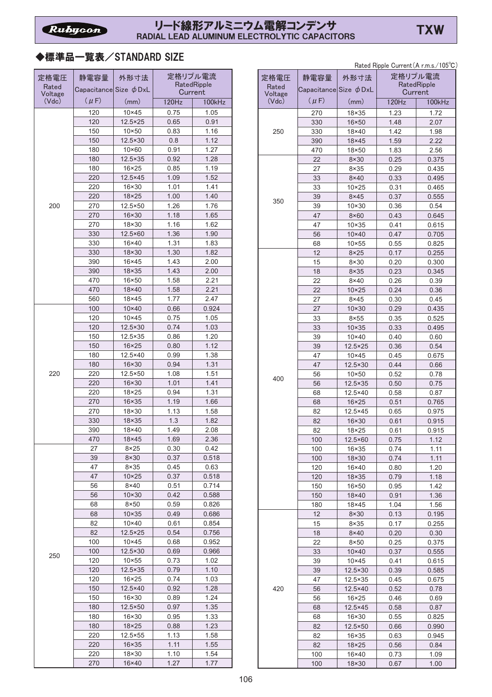#### -リード線形アルミニワム電解コンデンサ<br>RADIAL LEAD ALUMINUM ELECTROLYTIC CAPACITORS

### ◆標準品一覧表/STANDARD SIZE

| 定格電圧             | 静電容量                        | 外形寸法                     | 定格リプル電流      |               |
|------------------|-----------------------------|--------------------------|--------------|---------------|
| Rated            | Capacitance Size $\phi$ DxL |                          | Current      | RatedRipple   |
| Voltage<br>(Vdc) | $(\mu F)$                   | (mm)                     | 120Hz        | 100kHz        |
|                  | 120                         | $10\times 45$            | 0.75         | 1.05          |
|                  | 120                         | 12.5×25                  | 0.65         | 0.91          |
|                  | 150                         | $10\times 50$            | 0.83         | 1.16          |
|                  | 150                         | 12.5×30                  | 0.8          | 1.12          |
|                  | 180                         | $10\times 60$            | 0.91         | 1.27          |
|                  | 180                         | 12.5×35                  | 0.92         | 1.28          |
|                  | 180                         | 16×25                    | 0.85         | 1.19          |
|                  | 220                         | 12.5×45                  | 1.09         | 1.52          |
|                  | 220                         | $16 \times 30$           | 1.01         | 1.41          |
|                  | 220                         | $18\times25$             | 1.00         | 1.40          |
| 200              | 270                         | 12.5×50                  | 1.26         | 1.76          |
|                  | 270                         | 16×30<br>18×30           | 1.18<br>1.16 | 1.65<br>1.62  |
|                  | 270<br>330                  | 12.5×60                  | 1.36         | 1.90          |
|                  | 330                         | 16×40                    | 1.31         | 1.83          |
|                  | 330                         | 18×30                    | 1.30         | 1.82          |
|                  | 390                         | 16×45                    | 1.43         | 2.00          |
|                  | 390                         | 18×35                    | 1.43         | 2.00          |
|                  | 470                         | 16×50                    | 1.58         | 2.21          |
|                  | 470                         | 18×40                    | 1.58         | 2.21          |
|                  | 560                         | 18×45                    | 1.77         | 2.47          |
|                  | 100                         | $10\times 40$            | 0.66         | 0.924         |
|                  | 120                         | $10\times 45$            | 0.75         | 1.05          |
|                  | 120                         | 12.5×30                  | 0.74         | 1.03          |
|                  | 150                         | 12.5×35                  | 0.86         | 1.20          |
|                  | 150                         | $16 \times 25$           | 0.80         | 1.12          |
|                  | 180                         | 12.5×40                  | 0.99         | 1.38          |
|                  | 180                         | $16 \times 30$           | 0.94         | 1.31          |
| 220              | 220                         | 12.5×50                  | 1.08         | 1.51          |
|                  | 220<br>220                  | 16×30<br>18×25           | 1.01<br>0.94 | 1.41<br>1.31  |
|                  | 270                         | 16×35                    | 1.19         | 1.66          |
|                  | 270                         | 18×30                    | 1.13         | 1.58          |
|                  | 330                         | 18×35                    | 1.3          | 1.82          |
|                  | 390                         | 18×40                    | 1.49         | 2.08          |
|                  | 470                         | 18×45                    | 1.69         | 2.36          |
|                  | 27                          | $8\times 25$             | 0.30         | 0.42          |
|                  | 39                          | $8\times30$              | 0.37         | 0.518         |
|                  | 47                          | $8\times35$              | 0.45         | 0.63          |
|                  | 47                          | $10\times25$             | 0.37         | 0.518         |
|                  | 56                          | $8\times40$              | 0.51         | 0.714         |
|                  | 56                          | $10\times30$             | 0.42         | 0.588         |
|                  | 68                          | $8\times50$              | 0.59         | 0.826         |
|                  | 68                          | $10 \times 35$           | 0.49         | 0.686         |
|                  | 82                          | $10\times 40$            | 0.61         | 0.854         |
|                  | 82                          | 12.5×25                  | 0.54         | 0.756         |
|                  | 100<br>100                  | $10\times 45$            | 0.68         | 0.952         |
| 250              | 120                         | 12.5×30<br>$10\times 55$ | 0.69<br>0.73 | 0.966<br>1.02 |
|                  | 120                         | $12.5 \times 35$         | 0.79         | 1.10          |
|                  | 120                         | $16 \times 25$           | 0.74         | 1.03          |
|                  | 150                         | 12.5×40                  | 0.92         | 1.28          |
|                  | 150                         | 16×30                    | 0.89         | 1.24          |
|                  | 180                         | $12.5 \times 50$         | 0.97         | 1.35          |
|                  | 180                         | 16×30                    | 0.95         | 1.33          |
|                  | 180                         | $18\times25$             | 0.88         | 1.23          |
|                  | 220                         | 12.5×55                  | 1.13         | 1.58          |
|                  | 220                         | $16 \times 35$           | 1.11         | 1.55          |
|                  | 220                         | 18×30                    | 1.10         | 1.54          |
|                  | 270                         | $16\times40$             | 1.27         | 1.77          |

|         |                             |                  |             | Rated Ripple Current (A r.m.s./105°C) |  |  |
|---------|-----------------------------|------------------|-------------|---------------------------------------|--|--|
| 定格電圧    | 静電容量                        | 外形寸法             | 定格リプル電流     |                                       |  |  |
|         |                             |                  | RatedRipple |                                       |  |  |
| Rated   | Capacitance Size $\phi$ DxL |                  | Current     |                                       |  |  |
| Voltage |                             |                  |             |                                       |  |  |
| (Vdc)   | $(\mu F)$                   | (mm)             | 120Hz       | 100kHz                                |  |  |
|         | 270                         | 18×35            | 1.23        | 1.72                                  |  |  |
|         | 330                         | 16×50            | 1.48        | 2.07                                  |  |  |
|         |                             |                  |             |                                       |  |  |
| 250     | 330                         | 18×40            | 1.42        | 1.98                                  |  |  |
|         | 390                         | 18×45            | 1.59        | 2.22                                  |  |  |
|         | 470                         | 18×50            | 1.83        | 2.56                                  |  |  |
|         | 22                          | $8\times30$      | 0.25        | 0.375                                 |  |  |
|         | 27                          | $8\times35$      | 0.29        | 0.435                                 |  |  |
|         |                             |                  |             |                                       |  |  |
|         | 33                          | $8\times40$      | 0.33        | 0.495                                 |  |  |
|         | 33                          | $10 \times 25$   | 0.31        | 0.465                                 |  |  |
| 350     | 39                          | $8\times 45$     | 0.37        | 0.555                                 |  |  |
|         | 39                          | $10 \times 30$   | 0.36        | 0.54                                  |  |  |
|         | 47                          | $8\times60$      | 0.43        | 0.645                                 |  |  |
|         | 47                          | $10 \times 35$   | 0.41        | 0.615                                 |  |  |
|         |                             |                  |             |                                       |  |  |
|         | 56                          | $10\times 40$    | 0.47        | 0.705                                 |  |  |
|         | 68                          | $10\times 55$    | 0.55        | 0.825                                 |  |  |
|         | 12                          | $8\times 25$     | 0.17        | 0.255                                 |  |  |
|         | 15                          | $8\times30$      | 0.20        | 0.300                                 |  |  |
|         | 18                          | $8\times35$      | 0.23        | 0.345                                 |  |  |
|         | 22                          | $8\times40$      | 0.26        | 0.39                                  |  |  |
|         |                             |                  |             |                                       |  |  |
|         | 22                          | $10 \times 25$   | 0.24        | 0.36                                  |  |  |
|         | 27                          | $8\times 45$     | 0.30        | 0.45                                  |  |  |
|         | 27                          | $10 \times 30$   | 0.29        | 0.435                                 |  |  |
|         | 33                          | $8\times 55$     | 0.35        | 0.525                                 |  |  |
|         | 33                          | $10 \times 35$   | 0.33        | 0.495                                 |  |  |
|         | 39                          | $10\times 40$    | 0.40        | 0.60                                  |  |  |
|         |                             |                  |             |                                       |  |  |
|         | 39                          | 12.5×25          | 0.36        | 0.54                                  |  |  |
|         | 47                          | $10\times 45$    | 0.45        | 0.675                                 |  |  |
|         | 47                          | 12.5×30          | 0.44        | 0.66                                  |  |  |
|         | 56                          | $10\times 50$    | 0.52        | 0.78                                  |  |  |
| 400     | 56                          | 12.5×35          | 0.50        | 0.75                                  |  |  |
|         | 68                          | 12.5×40          | 0.58        | 0.87                                  |  |  |
|         |                             |                  |             |                                       |  |  |
|         | 68                          | $16 \times 25$   | 0.51        | 0.765                                 |  |  |
|         | 82                          | 12.5×45          | 0.65        | 0.975                                 |  |  |
|         | 82                          | 16×30            | 0.61        | 0.915                                 |  |  |
|         | 82                          | 18×25            | 0.61        | 0.915                                 |  |  |
|         | 100                         | 12.5×60          | 0.75        | 1.12                                  |  |  |
|         |                             |                  |             |                                       |  |  |
|         | 100                         | 16×35            | 0.74        | 1.11                                  |  |  |
|         | 100                         | 18×30            | 0.74        | 1.11                                  |  |  |
|         | 120                         | 16×40            | 0.80        | 1.20                                  |  |  |
|         | 120                         | $18\times35$     | 0.79        | 1.18                                  |  |  |
|         | 150                         | 16×50            | 0.95        | 1.42                                  |  |  |
|         | 150                         | 18×40            | 0.91        | 1.36                                  |  |  |
|         | 180                         | 18×45            | 1.04        | 1.56                                  |  |  |
|         |                             |                  |             |                                       |  |  |
|         | 12                          | $8\times30$      | 0.13        | 0.195                                 |  |  |
|         | 15                          | $8\times35$      | 0.17        | 0.255                                 |  |  |
|         | 18                          | $8\times40$      | 0.20        | 0.30                                  |  |  |
|         | 22                          | $8\times50$      | 0.25        | 0.375                                 |  |  |
|         | 33                          | $10\times 40$    | 0.37        | 0.555                                 |  |  |
|         | 39                          | $10\times 45$    | 0.41        | 0.615                                 |  |  |
|         |                             |                  |             |                                       |  |  |
|         | 39                          | 12.5×30          | 0.39        | 0.585                                 |  |  |
|         | 47                          | 12.5×35          | 0.45        | 0.675                                 |  |  |
| 420     | 56                          | 12.5×40          | 0.52        | 0.78                                  |  |  |
|         | 56                          | 16×25            | 0.46        | 0.69                                  |  |  |
|         | 68                          | 12.5×45          | 0.58        | 0.87                                  |  |  |
|         | 68                          | 16×30            | 0.55        | 0.825                                 |  |  |
|         |                             |                  |             |                                       |  |  |
|         | 82                          | $12.5 \times 50$ | 0.66        | 0.990                                 |  |  |
|         | 82                          | 16×35            | 0.63        | 0.945                                 |  |  |
|         | 82                          | $18\times25$     | 0.56        | 0.84                                  |  |  |
|         | 100                         | 16×40            | 0.73        | 1.09                                  |  |  |
|         | 100                         | 18×30            | 0.67        | 1.00                                  |  |  |
|         |                             |                  |             |                                       |  |  |